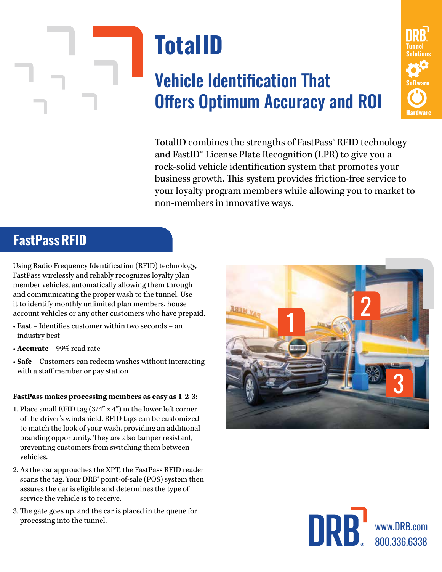

# Vehicle Identification That Offers Optimum Accuracy and ROI



TotalID combines the strengths of FastPass<sup>®</sup> RFID technology and FastID™ License Plate Recognition (LPR) to give you a rock-solid vehicle identification system that promotes your business growth. This system provides friction-free service to your loyalty program members while allowing you to market to non-members in innovative ways.

## **FastPassRFID**

Using Radio Frequency Identification (RFID) technology, FastPass wirelessly and reliably recognizes loyalty plan member vehicles, automatically allowing them through and communicating the proper wash to the tunnel. Use it to identify monthly unlimited plan members, house account vehicles or any other customers who have prepaid.

- **Fast** Identifies customer within two seconds an industry best
- **Accurate** 99% read rate
- **Safe** Customers can redeem washes without interacting with a staff member or pay station

### **FastPass makes processing members as easy as 1-2-3:**

- 1. Place small RFID tag  $(3/4" x 4")$  in the lower left corner of the driver's windshield. RFID tags can be customized to match the look of your wash, providing an additional branding opportunity. They are also tamper resistant, preventing customers from switching them between vehicles.
- 2. As the car approaches the XPT, the FastPass RFID reader scans the tag. Your DRB<sup>®</sup> point-of-sale (POS) system then assures the car is eligible and determines the type of service the vehicle is to receive.
- 3. The gate goes up, and the car is placed in the queue for processing into the tunnel.





800.336.6338